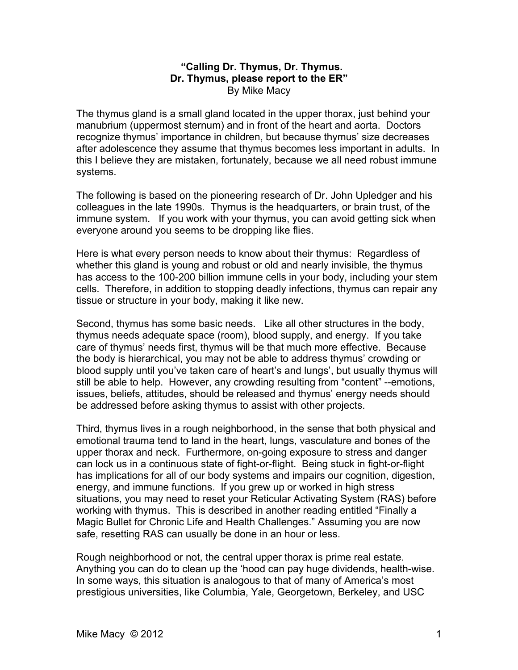## **"Calling Dr. Thymus, Dr. Thymus. Dr. Thymus, please report to the ER"** By Mike Macy

The thymus gland is a small gland located in the upper thorax, just behind your manubrium (uppermost sternum) and in front of the heart and aorta. Doctors recognize thymus' importance in children, but because thymus' size decreases after adolescence they assume that thymus becomes less important in adults. In this I believe they are mistaken, fortunately, because we all need robust immune systems.

The following is based on the pioneering research of Dr. John Upledger and his colleagues in the late 1990s. Thymus is the headquarters, or brain trust, of the immune system. If you work with your thymus, you can avoid getting sick when everyone around you seems to be dropping like flies.

Here is what every person needs to know about their thymus: Regardless of whether this gland is young and robust or old and nearly invisible, the thymus has access to the 100-200 billion immune cells in your body, including your stem cells. Therefore, in addition to stopping deadly infections, thymus can repair any tissue or structure in your body, making it like new.

Second, thymus has some basic needs. Like all other structures in the body, thymus needs adequate space (room), blood supply, and energy. If you take care of thymus' needs first, thymus will be that much more effective. Because the body is hierarchical, you may not be able to address thymus' crowding or blood supply until you've taken care of heart's and lungs', but usually thymus will still be able to help. However, any crowding resulting from "content" --emotions, issues, beliefs, attitudes, should be released and thymus' energy needs should be addressed before asking thymus to assist with other projects.

Third, thymus lives in a rough neighborhood, in the sense that both physical and emotional trauma tend to land in the heart, lungs, vasculature and bones of the upper thorax and neck. Furthermore, on-going exposure to stress and danger can lock us in a continuous state of fight-or-flight. Being stuck in fight-or-flight has implications for all of our body systems and impairs our cognition, digestion, energy, and immune functions. If you grew up or worked in high stress situations, you may need to reset your Reticular Activating System (RAS) before working with thymus. This is described in another reading entitled "Finally a Magic Bullet for Chronic Life and Health Challenges." Assuming you are now safe, resetting RAS can usually be done in an hour or less.

Rough neighborhood or not, the central upper thorax is prime real estate. Anything you can do to clean up the 'hood can pay huge dividends, health-wise. In some ways, this situation is analogous to that of many of America's most prestigious universities, like Columbia, Yale, Georgetown, Berkeley, and USC